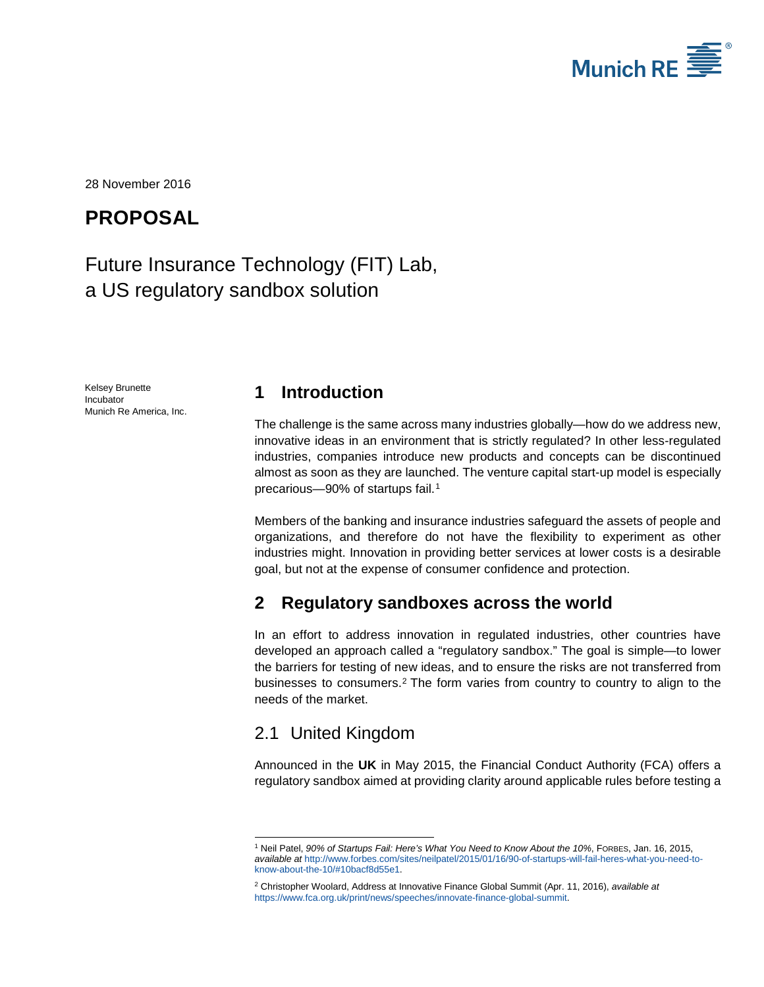

<span id="page-0-2"></span>28 November 2016

## **PROPOSAL**

# Future Insurance Technology (FIT) Lab, a US regulatory sandbox solution

<span id="page-0-3"></span>Kelsey Brunette Incubator Munich Re America, Inc.

#### **1 Introduction**

The challenge is the same across many industries globally—how do we address new, innovative ideas in an environment that is strictly regulated? In other less-regulated industries, companies introduce new products and concepts can be discontinued almost as soon as they are launched. The venture capital start-up model is especially precarious-90% of startups fail.<sup>[1](#page-0-0)</sup>

Members of the banking and insurance industries safeguard the assets of people and organizations, and therefore do not have the flexibility to experiment as other industries might. Innovation in providing better services at lower costs is a desirable goal, but not at the expense of consumer confidence and protection.

### **2 Regulatory sandboxes across the world**

In an effort to address innovation in regulated industries, other countries have developed an approach called a "regulatory sandbox." The goal is simple—to lower the barriers for testing of new ideas, and to ensure the risks are not transferred from businesses to consumers.[2](#page-0-1) The form varies from country to country to align to the needs of the market.

#### 2.1 United Kingdom

Announced in the **UK** in May 2015, the Financial Conduct Authority (FCA) offers a regulatory sandbox aimed at providing clarity around applicable rules before testing a

<span id="page-0-0"></span><sup>1</sup> Neil Patel, *90% of Startups Fail: Here's What You Need to Know About the 10%*, FORBES, Jan. 16, 2015, *available at* [http://www.forbes.com/sites/neilpatel/2015/01/16/90-of-startups-will-fail-heres-what-you-need-to](http://www.forbes.com/sites/neilpatel/2015/01/16/90-of-startups-will-fail-heres-what-you-need-to-know-about-the-10/%2310bacf8d55e1)[know-about-the-10/#10bacf8d55e1.](http://www.forbes.com/sites/neilpatel/2015/01/16/90-of-startups-will-fail-heres-what-you-need-to-know-about-the-10/%2310bacf8d55e1)  -

<span id="page-0-1"></span><sup>2</sup> Christopher Woolard, Address at Innovative Finance Global Summit (Apr. 11, 2016), *available at* [https://www.fca.org.uk/print/news/speeches/innovate-finance-global-summit.](https://www.fca.org.uk/print/news/speeches/innovate-finance-global-summit)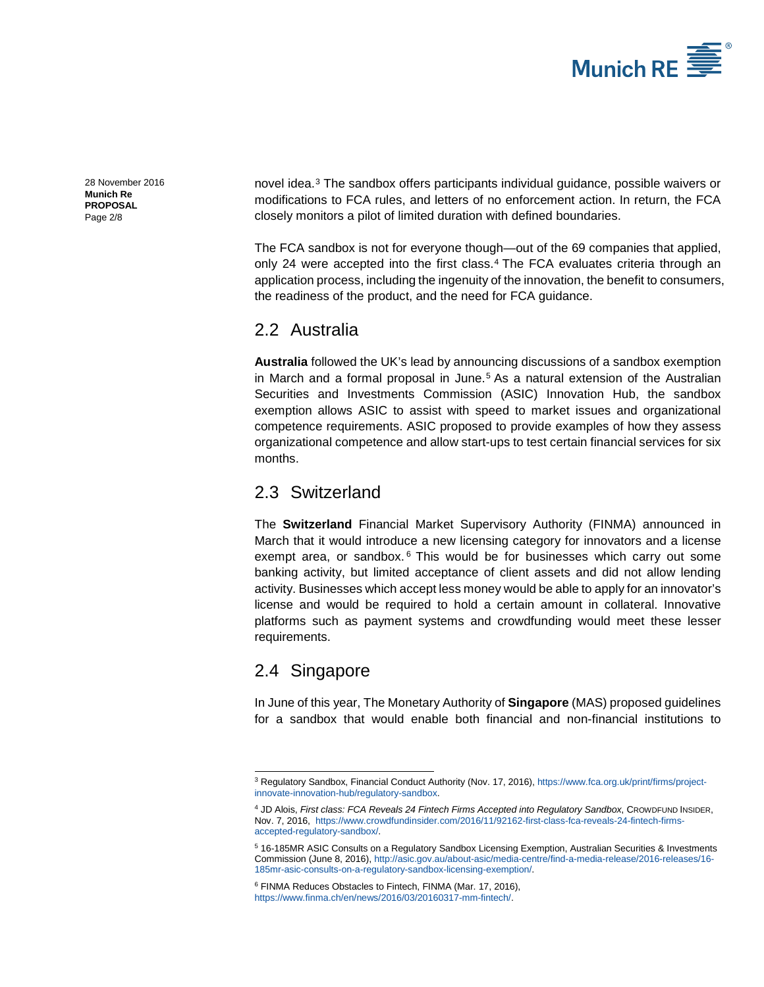

[28 November 2016](#page-0-2) **Munich Re PROPOSAL** Page 2/8

novel idea.[3](#page-1-0) The sandbox offers participants individual guidance, possible waivers or modifications to FCA rules, and letters of no enforcement action. In return, the FCA closely monitors a pilot of limited duration with defined boundaries.

The FCA sandbox is not for everyone though—out of the 69 companies that applied, only 2[4](#page-1-1) were accepted into the first class.<sup>4</sup> The FCA evaluates criteria through an application process, including the ingenuity of the innovation, the benefit to consumers, the readiness of the product, and the need for FCA guidance.

#### 2.2 Australia

**Australia** followed the UK's lead by announcing discussions of a sandbox exemption in March and a formal proposal in June.<sup>[5](#page-1-2)</sup> As a natural extension of the Australian Securities and Investments Commission (ASIC) Innovation Hub, the sandbox exemption allows ASIC to assist with speed to market issues and organizational competence requirements. ASIC proposed to provide examples of how they assess organizational competence and allow start-ups to test certain financial services for six months.

#### 2.3 Switzerland

The **Switzerland** Financial Market Supervisory Authority (FINMA) announced in March that it would introduce a new licensing category for innovators and a license exempt area, or sandbox. $6$  This would be for businesses which carry out some banking activity, but limited acceptance of client assets and did not allow lending activity. Businesses which accept less money would be able to apply for an innovator's license and would be required to hold a certain amount in collateral. Innovative platforms such as payment systems and crowdfunding would meet these lesser requirements.

## 2.4 Singapore

In June of this year, The Monetary Authority of **Singapore** (MAS) proposed guidelines for a sandbox that would enable both financial and non-financial institutions to

<span id="page-1-0"></span><sup>3</sup> Regulatory Sandbox, Financial Conduct Authority (Nov. 17, 2016), [https://www.fca.org.uk/print/firms/project](https://www.fca.org.uk/print/firms/project-innovate-innovation-hub/regulatory-sandbox)[innovate-innovation-hub/regulatory-sandbox.](https://www.fca.org.uk/print/firms/project-innovate-innovation-hub/regulatory-sandbox)  -

<span id="page-1-1"></span><sup>4</sup> JD Alois, *First class: FCA Reveals 24 Fintech Firms Accepted into Regulatory Sandbox*, CROWDFUND INSIDER, Nov. 7, 2016, [https://www.crowdfundinsider.com/2016/11/92162-first-class-fca-reveals-24-fintech-firms](https://www.crowdfundinsider.com/2016/11/92162-first-class-fca-reveals-24-fintech-firms-accepted-regulatory-sandbox/)[accepted-regulatory-sandbox/.](https://www.crowdfundinsider.com/2016/11/92162-first-class-fca-reveals-24-fintech-firms-accepted-regulatory-sandbox/) 

<span id="page-1-2"></span><sup>5</sup> 16-185MR ASIC Consults on a Regulatory Sandbox Licensing Exemption, Australian Securities & Investments Commission (June 8, 2016)[, http://asic.gov.au/about-asic/media-centre/find-a-media-release/2016-releases/16-](http://asic.gov.au/about-asic/media-centre/find-a-media-release/2016-releases/16-185mr-asic-consults-on-a-regulatory-sandbox-licensing-exemption/) [185mr-asic-consults-on-a-regulatory-sandbox-licensing-exemption/.](http://asic.gov.au/about-asic/media-centre/find-a-media-release/2016-releases/16-185mr-asic-consults-on-a-regulatory-sandbox-licensing-exemption/) 

<span id="page-1-3"></span><sup>6</sup> FINMA Reduces Obstacles to Fintech, FINMA (Mar. 17, 2016), [https://www.finma.ch/en/news/2016/03/20160317-mm-fintech/.](https://www.finma.ch/en/news/2016/03/20160317-mm-fintech/)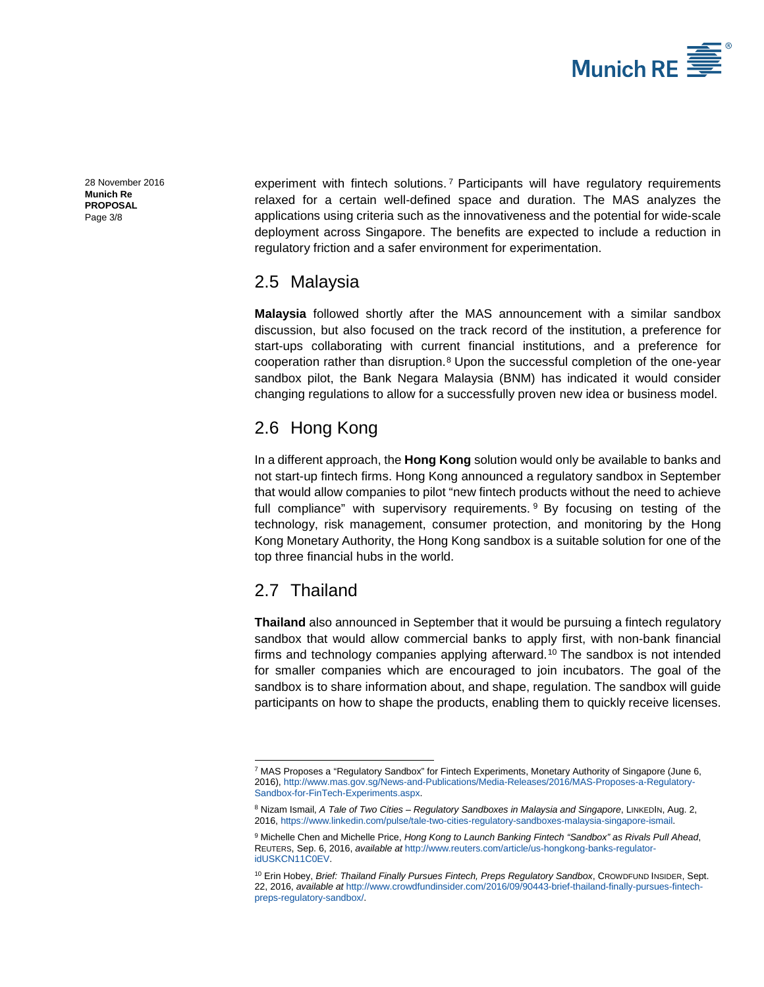

[28 November 2016](#page-0-2) **Munich Re PROPOSAL** Page 3/8

experiment with fintech solutions.<sup>[7](#page-2-0)</sup> Participants will have regulatory requirements relaxed for a certain well-defined space and duration. The MAS analyzes the applications using criteria such as the innovativeness and the potential for wide-scale deployment across Singapore. The benefits are expected to include a reduction in regulatory friction and a safer environment for experimentation.

#### 2.5 Malaysia

**Malaysia** followed shortly after the MAS announcement with a similar sandbox discussion, but also focused on the track record of the institution, a preference for start-ups collaborating with current financial institutions, and a preference for cooperation rather than disruption.[8](#page-2-1) Upon the successful completion of the one-year sandbox pilot, the Bank Negara Malaysia (BNM) has indicated it would consider changing regulations to allow for a successfully proven new idea or business model.

### 2.6 Hong Kong

In a different approach, the **Hong Kong** solution would only be available to banks and not start-up fintech firms. Hong Kong announced a regulatory sandbox in September that would allow companies to pilot "new fintech products without the need to achieve full compliance" with supervisory requirements. <sup>[9](#page-2-2)</sup> By focusing on testing of the technology, risk management, consumer protection, and monitoring by the Hong Kong Monetary Authority, the Hong Kong sandbox is a suitable solution for one of the top three financial hubs in the world.

### 2.7 Thailand

-

**Thailand** also announced in September that it would be pursuing a fintech regulatory sandbox that would allow commercial banks to apply first, with non-bank financial firms and technology companies applying afterward.[10](#page-2-3) The sandbox is not intended for smaller companies which are encouraged to join incubators. The goal of the sandbox is to share information about, and shape, regulation. The sandbox will guide participants on how to shape the products, enabling them to quickly receive licenses.

<span id="page-2-0"></span><sup>7</sup> MAS Proposes a "Regulatory Sandbox" for Fintech Experiments, Monetary Authority of Singapore (June 6, 2016)[, http://www.mas.gov.sg/News-and-Publications/Media-Releases/2016/MAS-Proposes-a-Regulatory-](http://www.mas.gov.sg/News-and-Publications/Media-Releases/2016/MAS-Proposes-a-Regulatory-Sandbox-for-FinTech-Experiments.aspx)[Sandbox-for-FinTech-Experiments.aspx.](http://www.mas.gov.sg/News-and-Publications/Media-Releases/2016/MAS-Proposes-a-Regulatory-Sandbox-for-FinTech-Experiments.aspx) 

<span id="page-2-2"></span><span id="page-2-1"></span><sup>8</sup> Nizam Ismail, *A Tale of Two Cities – Regulatory Sandboxes in Malaysia and Singapore*, LINKEDIN, Aug. 2, 2016, [https://www.linkedin.com/pulse/tale-two-cities-regulatory-sandboxes-malaysia-singapore-ismail.](https://www.linkedin.com/pulse/tale-two-cities-regulatory-sandboxes-malaysia-singapore-ismail)

<sup>9</sup> Michelle Chen and Michelle Price, *Hong Kong to Launch Banking Fintech "Sandbox" as Rivals Pull Ahead*, REUTERS, Sep. 6, 2016, *available at* [http://www.reuters.com/article/us-hongkong-banks-regulator](http://www.reuters.com/article/us-hongkong-banks-regulator-idUSKCN11C0EV)[idUSKCN11C0EV.](http://www.reuters.com/article/us-hongkong-banks-regulator-idUSKCN11C0EV)

<span id="page-2-3"></span><sup>10</sup> Erin Hobey, *Brief: Thailand Finally Pursues Fintech, Preps Regulatory Sandbox*, CROWDFUND INSIDER, Sept. 22, 2016, *available at* [http://www.crowdfundinsider.com/2016/09/90443-brief-thailand-finally-pursues-fintech](http://www.crowdfundinsider.com/2016/09/90443-brief-thailand-finally-pursues-fintech-preps-regulatory-sandbox/)[preps-regulatory-sandbox/.](http://www.crowdfundinsider.com/2016/09/90443-brief-thailand-finally-pursues-fintech-preps-regulatory-sandbox/)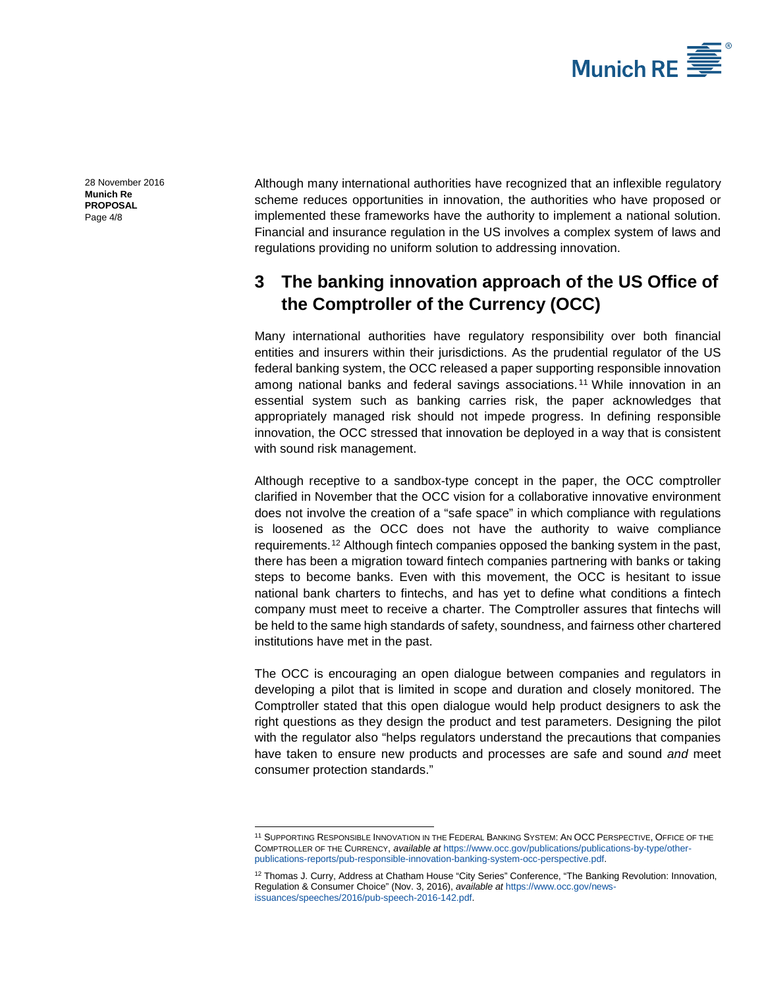

[28 November 2016](#page-0-2) **Munich Re PROPOSAL** Page 4/8

Although many international authorities have recognized that an inflexible regulatory scheme reduces opportunities in innovation, the authorities who have proposed or implemented these frameworks have the authority to implement a national solution. Financial and insurance regulation in the US involves a complex system of laws and regulations providing no uniform solution to addressing innovation.

### **3 The banking innovation approach of the US Office of the Comptroller of the Currency (OCC)**

Many international authorities have regulatory responsibility over both financial entities and insurers within their jurisdictions. As the prudential regulator of the US federal banking system, the OCC released a paper supporting responsible innovation among national banks and federal savings associations. [11](#page-3-0) While innovation in an essential system such as banking carries risk, the paper acknowledges that appropriately managed risk should not impede progress. In defining responsible innovation, the OCC stressed that innovation be deployed in a way that is consistent with sound risk management.

Although receptive to a sandbox-type concept in the paper, the OCC comptroller clarified in November that the OCC vision for a collaborative innovative environment does not involve the creation of a "safe space" in which compliance with regulations is loosened as the OCC does not have the authority to waive compliance requirements.[12](#page-3-1) Although fintech companies opposed the banking system in the past, there has been a migration toward fintech companies partnering with banks or taking steps to become banks. Even with this movement, the OCC is hesitant to issue national bank charters to fintechs, and has yet to define what conditions a fintech company must meet to receive a charter. The Comptroller assures that fintechs will be held to the same high standards of safety, soundness, and fairness other chartered institutions have met in the past.

The OCC is encouraging an open dialogue between companies and regulators in developing a pilot that is limited in scope and duration and closely monitored. The Comptroller stated that this open dialogue would help product designers to ask the right questions as they design the product and test parameters. Designing the pilot with the regulator also "helps regulators understand the precautions that companies have taken to ensure new products and processes are safe and sound *and* meet consumer protection standards."

-

<span id="page-3-0"></span><sup>11</sup> SUPPORTING RESPONSIBLE INNOVATION IN THE FEDERAL BANKING SYSTEM: AN OCC PERSPECTIVE, OFFICE OF THE COMPTROLLER OF THE CURRENCY, *available at* [https://www.occ.gov/publications/publications-by-type/other](https://www.occ.gov/publications/publications-by-type/other-publications-reports/pub-responsible-innovation-banking-system-occ-perspective.pdf)[publications-reports/pub-responsible-innovation-banking-system-occ-perspective.pdf.](https://www.occ.gov/publications/publications-by-type/other-publications-reports/pub-responsible-innovation-banking-system-occ-perspective.pdf)

<span id="page-3-1"></span><sup>&</sup>lt;sup>12</sup> Thomas J. Curry, Address at Chatham House "City Series" Conference, "The Banking Revolution: Innovation, Regulation & Consumer Choice" (Nov. 3, 2016), *available at* [https://www.occ.gov/news](https://www.occ.gov/news-issuances/speeches/2016/pub-speech-2016-142.pdf)[issuances/speeches/2016/pub-speech-2016-142.pdf.](https://www.occ.gov/news-issuances/speeches/2016/pub-speech-2016-142.pdf)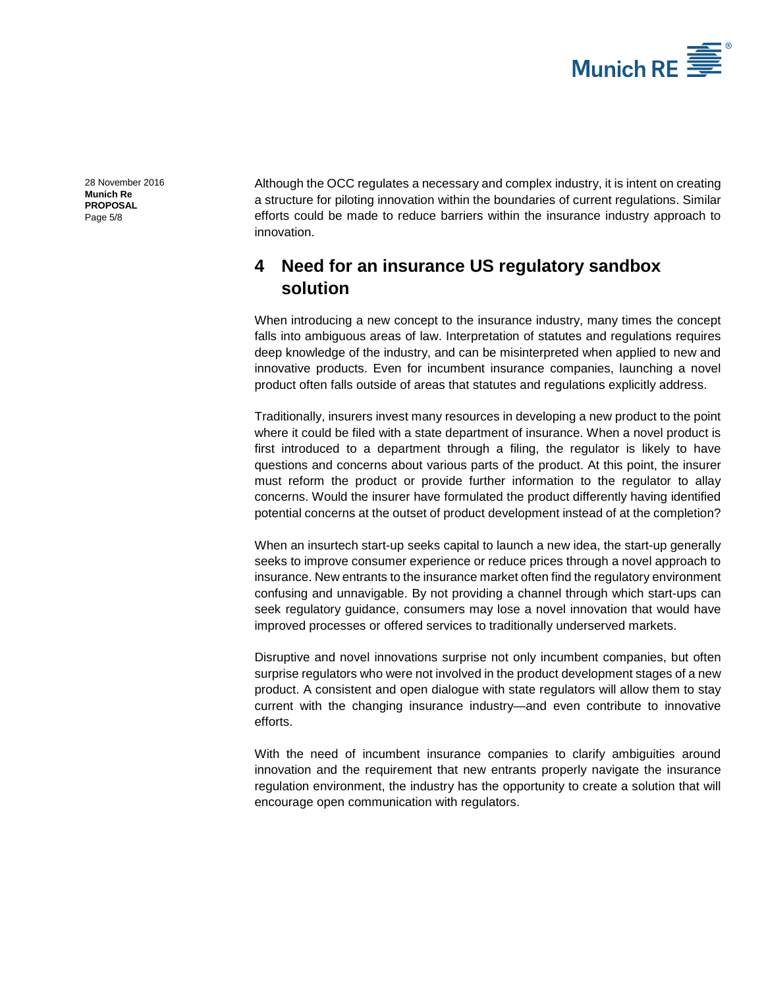

[28 November 2016](#page-0-2) **Munich Re PROPOSAL** Page 5/8

Although the OCC regulates a necessary and complex industry, it is intent on creating a structure for piloting innovation within the boundaries of current regulations. Similar efforts could be made to reduce barriers within the insurance industry approach to innovation.

### **4 Need for an insurance US regulatory sandbox solution**

When introducing a new concept to the insurance industry, many times the concept falls into ambiguous areas of law. Interpretation of statutes and regulations requires deep knowledge of the industry, and can be misinterpreted when applied to new and innovative products. Even for incumbent insurance companies, launching a novel product often falls outside of areas that statutes and regulations explicitly address.

Traditionally, insurers invest many resources in developing a new product to the point where it could be filed with a state department of insurance. When a novel product is first introduced to a department through a filing, the regulator is likely to have questions and concerns about various parts of the product. At this point, the insurer must reform the product or provide further information to the regulator to allay concerns. Would the insurer have formulated the product differently having identified potential concerns at the outset of product development instead of at the completion?

When an insurtech start-up seeks capital to launch a new idea, the start-up generally seeks to improve consumer experience or reduce prices through a novel approach to insurance. New entrants to the insurance market often find the regulatory environment confusing and unnavigable. By not providing a channel through which start-ups can seek regulatory guidance, consumers may lose a novel innovation that would have improved processes or offered services to traditionally underserved markets.

Disruptive and novel innovations surprise not only incumbent companies, but often surprise regulators who were not involved in the product development stages of a new product. A consistent and open dialogue with state regulators will allow them to stay current with the changing insurance industry—and even contribute to innovative efforts.

With the need of incumbent insurance companies to clarify ambiguities around innovation and the requirement that new entrants properly navigate the insurance regulation environment, the industry has the opportunity to create a solution that will encourage open communication with regulators.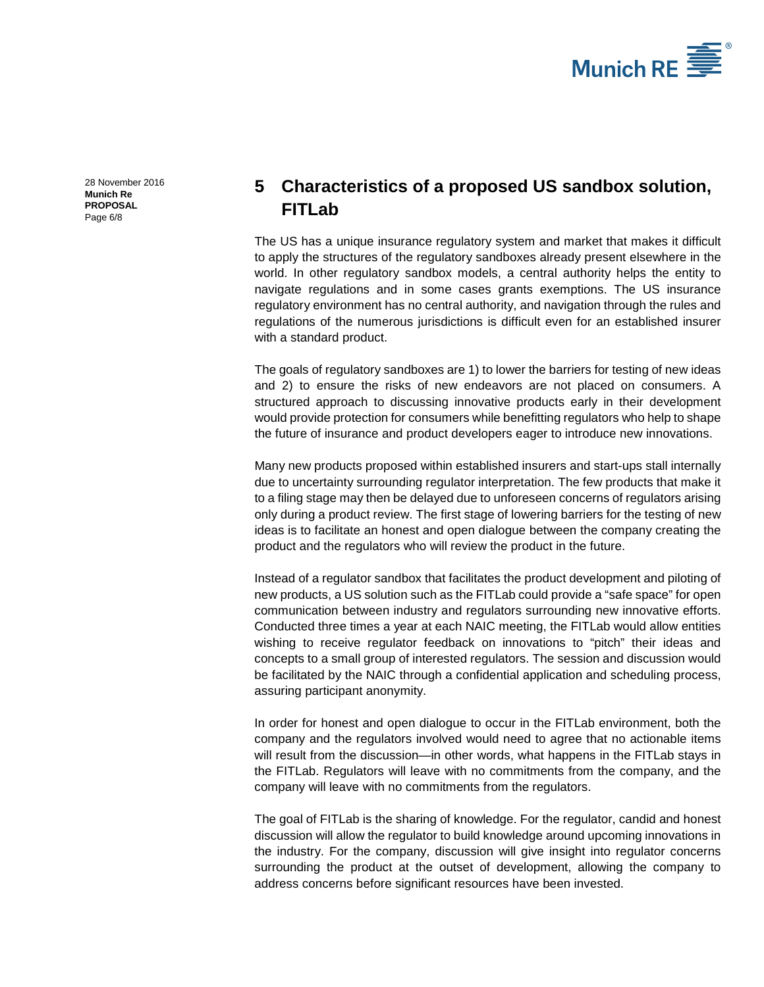

[28 November 2016](#page-0-2) **Munich Re PROPOSAL** Page 6/8

## **5 Characteristics of a proposed US sandbox solution, FITLab**

The US has a unique insurance regulatory system and market that makes it difficult to apply the structures of the regulatory sandboxes already present elsewhere in the world. In other regulatory sandbox models, a central authority helps the entity to navigate regulations and in some cases grants exemptions. The US insurance regulatory environment has no central authority, and navigation through the rules and regulations of the numerous jurisdictions is difficult even for an established insurer with a standard product.

The goals of regulatory sandboxes are 1) to lower the barriers for testing of new ideas and 2) to ensure the risks of new endeavors are not placed on consumers. A structured approach to discussing innovative products early in their development would provide protection for consumers while benefitting regulators who help to shape the future of insurance and product developers eager to introduce new innovations.

Many new products proposed within established insurers and start-ups stall internally due to uncertainty surrounding regulator interpretation. The few products that make it to a filing stage may then be delayed due to unforeseen concerns of regulators arising only during a product review. The first stage of lowering barriers for the testing of new ideas is to facilitate an honest and open dialogue between the company creating the product and the regulators who will review the product in the future.

Instead of a regulator sandbox that facilitates the product development and piloting of new products, a US solution such as the FITLab could provide a "safe space" for open communication between industry and regulators surrounding new innovative efforts. Conducted three times a year at each NAIC meeting, the FITLab would allow entities wishing to receive regulator feedback on innovations to "pitch" their ideas and concepts to a small group of interested regulators. The session and discussion would be facilitated by the NAIC through a confidential application and scheduling process, assuring participant anonymity.

In order for honest and open dialogue to occur in the FITLab environment, both the company and the regulators involved would need to agree that no actionable items will result from the discussion—in other words, what happens in the FITLab stays in the FITLab. Regulators will leave with no commitments from the company, and the company will leave with no commitments from the regulators.

The goal of FITLab is the sharing of knowledge. For the regulator, candid and honest discussion will allow the regulator to build knowledge around upcoming innovations in the industry. For the company, discussion will give insight into regulator concerns surrounding the product at the outset of development, allowing the company to address concerns before significant resources have been invested.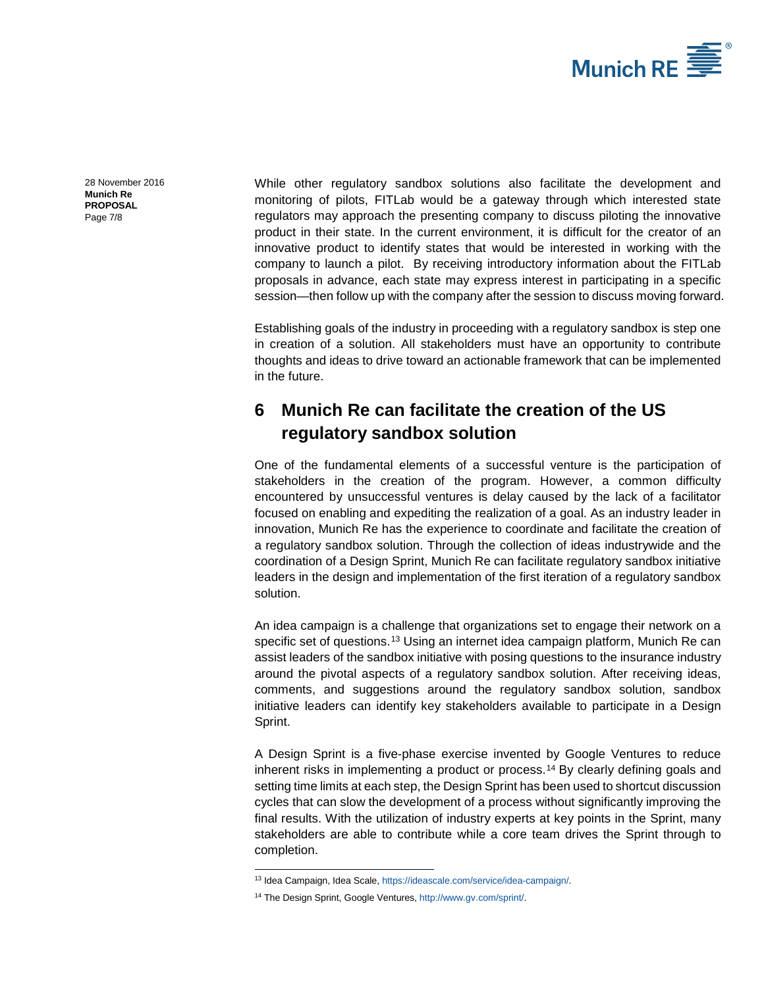

[28 November 2016](#page-0-2) **Munich Re PROPOSAL** Page 7/8

While other regulatory sandbox solutions also facilitate the development and monitoring of pilots, FITLab would be a gateway through which interested state regulators may approach the presenting company to discuss piloting the innovative product in their state. In the current environment, it is difficult for the creator of an innovative product to identify states that would be interested in working with the company to launch a pilot. By receiving introductory information about the FITLab proposals in advance, each state may express interest in participating in a specific session—then follow up with the company after the session to discuss moving forward.

Establishing goals of the industry in proceeding with a regulatory sandbox is step one in creation of a solution. All stakeholders must have an opportunity to contribute thoughts and ideas to drive toward an actionable framework that can be implemented in the future.

### **6 Munich Re can facilitate the creation of the US regulatory sandbox solution**

One of the fundamental elements of a successful venture is the participation of stakeholders in the creation of the program. However, a common difficulty encountered by unsuccessful ventures is delay caused by the lack of a facilitator focused on enabling and expediting the realization of a goal. As an industry leader in innovation, Munich Re has the experience to coordinate and facilitate the creation of a regulatory sandbox solution. Through the collection of ideas industrywide and the coordination of a Design Sprint, Munich Re can facilitate regulatory sandbox initiative leaders in the design and implementation of the first iteration of a regulatory sandbox solution.

An idea campaign is a challenge that organizations set to engage their network on a specific set of questions.<sup>[13](#page-6-0)</sup> Using an internet idea campaign platform, Munich Re can assist leaders of the sandbox initiative with posing questions to the insurance industry around the pivotal aspects of a regulatory sandbox solution. After receiving ideas, comments, and suggestions around the regulatory sandbox solution, sandbox initiative leaders can identify key stakeholders available to participate in a Design Sprint.

A Design Sprint is a five-phase exercise invented by Google Ventures to reduce inherent risks in implementing a product or process.[14](#page-6-1) By clearly defining goals and setting time limits at each step, the Design Sprint has been used to shortcut discussion cycles that can slow the development of a process without significantly improving the final results. With the utilization of industry experts at key points in the Sprint, many stakeholders are able to contribute while a core team drives the Sprint through to completion.

-

<sup>&</sup>lt;sup>13</sup> Idea Campaign, Idea Scale[, https://ideascale.com/service/idea-campaign/.](https://ideascale.com/service/idea-campaign/)

<span id="page-6-1"></span><span id="page-6-0"></span><sup>14</sup> The Design Sprint, Google Ventures[, http://www.gv.com/sprint/.](http://www.gv.com/sprint/)